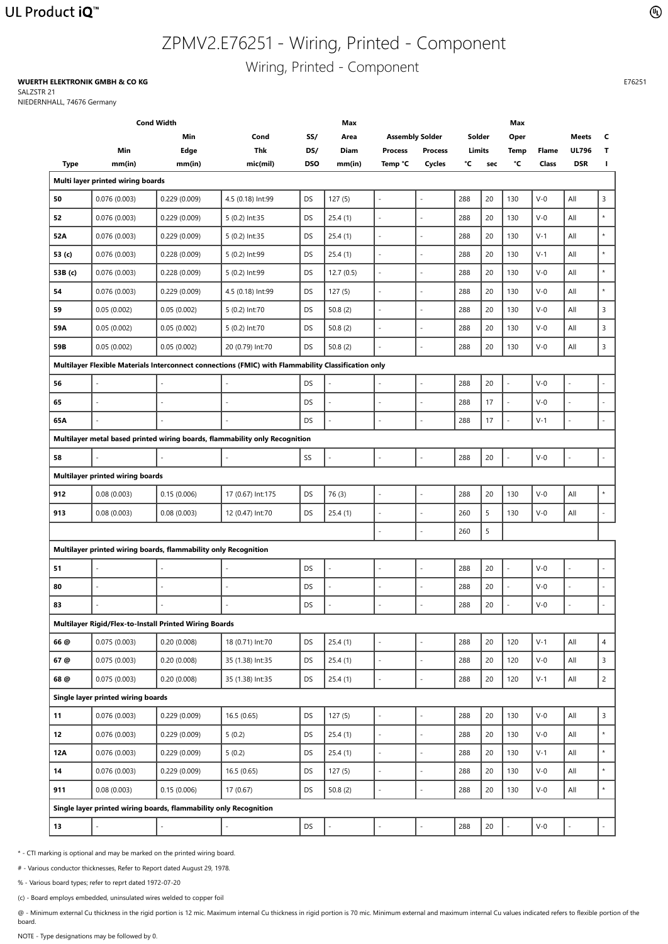## UL Product iQ<sup>™</sup>

# ZPMV2.E76251 - Wiring, Printed - Component

Wiring, Printed - Component

| <b>Cond Width</b> |                                                                   |              |                                                                                                     |            | <b>Max</b>  |                          | <b>Max</b>     |               |        |              |              |              |                |
|-------------------|-------------------------------------------------------------------|--------------|-----------------------------------------------------------------------------------------------------|------------|-------------|--------------------------|----------------|---------------|--------|--------------|--------------|--------------|----------------|
|                   |                                                                   | Min          | Cond                                                                                                | SS/        | Area        | <b>Assembly Solder</b>   |                | Solder        |        | Oper         |              | <b>Meets</b> | $\mathsf{C}$   |
|                   | Min                                                               | <b>Edge</b>  | <b>Thk</b>                                                                                          | DS/        | <b>Diam</b> | <b>Process</b>           | <b>Process</b> | <b>Limits</b> |        | <b>Temp</b>  | <b>Flame</b> | <b>UL796</b> | $\mathbf{T}$   |
| <b>Type</b>       | mm(in)                                                            | mm(in)       | mic(mil)                                                                                            | <b>DSO</b> | mm(in)      | Temp °C                  | <b>Cycles</b>  | °C            | sec    | $\mathbf{C}$ | <b>Class</b> | <b>DSR</b>   | $\mathbf{I}$   |
|                   | Multi layer printed wiring boards                                 |              |                                                                                                     |            |             |                          |                |               |        |              |              |              |                |
| 50                | 0.076(0.003)                                                      | 0.229(0.009) | 4.5 (0.18) Int:99                                                                                   | DS         | 127(5)      | $\overline{a}$           |                | 288           | 20     | 130          | $V-0$        | $A\parallel$ | $\mathsf{3}$   |
| 52                | 0.076(0.003)                                                      | 0.229(0.009) | 5 (0.2) Int:35                                                                                      | DS         | 25.4(1)     |                          |                | 288           | 20     | 130          | $V-0$        | All          | $\star$        |
| <b>52A</b>        | 0.076(0.003)                                                      | 0.229(0.009) | 5 (0.2) Int:35                                                                                      | <b>DS</b>  | 25.4(1)     |                          |                | 288           | 20     | 130          | $V-1$        | All          | $\star$        |
| 53 (c)            | 0.076(0.003)                                                      | 0.228(0.009) | 5 (0.2) Int:99                                                                                      | <b>DS</b>  | 25.4(1)     |                          |                | 288           | 20     | 130          | $V-1$        | All          | $\star$        |
| 53B (c)           | 0.076(0.003)                                                      | 0.228(0.009) | 5 (0.2) Int:99                                                                                      | <b>DS</b>  | 12.7(0.5)   | $\overline{\phantom{0}}$ |                | 288           | 20     | 130          | $V-0$        | All          | $\star$        |
| 54                | 0.076(0.003)                                                      | 0.229(0.009) | 4.5 (0.18) Int:99                                                                                   | DS         | 127(5)      | ÷,                       |                | 288           | 20     | 130          | $V-0$        | All          | $\star$        |
| 59                | 0.05(0.002)                                                       | 0.05(0.002)  | 5 (0.2) Int:70                                                                                      | DS         | 50.8(2)     |                          |                | 288           | 20     | 130          | $V-0$        | All          | 3              |
| 59A               | 0.05(0.002)                                                       | 0.05(0.002)  | 5 (0.2) Int:70                                                                                      | DS         | 50.8(2)     | $\overline{\phantom{a}}$ |                | 288           | 20     | 130          | $V-0$        | All          | 3              |
| 59B               | 0.05(0.002)                                                       | 0.05(0.002)  | 20 (0.79) Int:70                                                                                    | DS         | 50.8(2)     | $\overline{\phantom{a}}$ |                | 288           | 20     | 130          | $V-0$        | All          | $\mathsf{3}$   |
|                   |                                                                   |              | Multilayer Flexible Materials Interconnect connections (FMIC) with Flammability Classification only |            |             |                          |                |               |        |              |              |              |                |
| 56                | $\blacksquare$                                                    |              |                                                                                                     | <b>DS</b>  |             | $\overline{\phantom{0}}$ |                | 288           | 20     |              | $V-0$        |              |                |
| 65                |                                                                   |              |                                                                                                     | <b>DS</b>  |             |                          |                | 288           | 17     |              | $V-0$        |              |                |
| 65A               | $\blacksquare$                                                    |              |                                                                                                     | <b>DS</b>  |             | $\overline{\phantom{0}}$ | $\overline{a}$ | 288           | 17     |              | $V-1$        |              |                |
|                   |                                                                   |              | Multilayer metal based printed wiring boards, flammability only Recognition                         |            |             |                          |                |               |        |              |              |              |                |
| 58                |                                                                   |              |                                                                                                     | SS         |             |                          |                | 288           | 20     |              | $V-0$        |              |                |
|                   | <b>Multilayer printed wiring boards</b>                           |              |                                                                                                     |            |             |                          |                |               |        |              |              |              |                |
| 912               | 0.08(0.003)                                                       | 0.15(0.006)  | 17 (0.67) Int:175                                                                                   | DS         | 76(3)       | $\overline{\phantom{0}}$ |                | 288           | 20     | 130          | $V-0$        | All          | $\star$        |
| 913               | 0.08(0.003)                                                       | 0.08(0.003)  | 12 (0.47) Int:70                                                                                    | DS         | 25.4(1)     | $\overline{\phantom{0}}$ |                | 260           | 5      | 130          | $V-0$        | All          |                |
|                   |                                                                   |              |                                                                                                     |            |             | $\overline{\phantom{a}}$ |                | 260           | 5      |              |              |              |                |
|                   | Multilayer printed wiring boards, flammability only Recognition   |              |                                                                                                     |            |             |                          |                |               |        |              |              |              |                |
| 51                | $\blacksquare$                                                    |              |                                                                                                     | <b>DS</b>  |             | $\overline{\phantom{0}}$ |                | 288           | 20     |              | $V-0$        |              |                |
| 80                | $\blacksquare$                                                    |              |                                                                                                     | <b>DS</b>  |             | $\overline{\phantom{a}}$ |                | 288           | 20     |              | $V-0$        |              |                |
| 83                |                                                                   |              |                                                                                                     | DS         |             | $\overline{\phantom{a}}$ |                | 288           | $20\,$ |              | $V-0$        |              |                |
|                   | Multilayer Rigid/Flex-to-Install Printed Wiring Boards            |              |                                                                                                     |            |             |                          |                |               |        |              |              |              |                |
| 66 @              | 0.075(0.003)                                                      | 0.20(0.008)  | 18 (0.71) Int:70                                                                                    | DS         | 25.4(1)     | $\overline{\phantom{0}}$ |                | 288           | 20     | 120          | $V-1$        | All          | $\overline{4}$ |
| 67 @              | 0.075(0.003)                                                      | 0.20(0.008)  | 35 (1.38) Int:35                                                                                    | <b>DS</b>  | 25.4(1)     | $\overline{\phantom{0}}$ |                | 288           | 20     | 120          | $V-0$        | All          | 3              |
| 68 @              | 0.075(0.003)                                                      | 0.20(0.008)  | 35 (1.38) Int:35                                                                                    | <b>DS</b>  | 25.4(1)     |                          |                | 288           | 20     | 120          | $V-1$        | All          | $\overline{c}$ |
|                   | Single layer printed wiring boards                                |              |                                                                                                     |            |             |                          |                |               |        |              |              |              |                |
| 11                | 0.076(0.003)                                                      | 0.229(0.009) | 16.5(0.65)                                                                                          | DS         | 127(5)      | $\overline{\phantom{0}}$ |                | 288           | 20     | 130          | $V-0$        | All          | $\overline{3}$ |
| 12                | 0.076(0.003)                                                      | 0.229(0.009) | 5(0.2)                                                                                              | <b>DS</b>  | 25.4(1)     | $\overline{\phantom{a}}$ |                | 288           | 20     | 130          | $V-0$        | All          | $\star$        |
| <b>12A</b>        | 0.076(0.003)                                                      | 0.229(0.009) | 5(0.2)                                                                                              | DS         | 25.4(1)     | $\overline{\phantom{a}}$ |                | 288           | 20     | 130          | $V-1$        | All          | $\star$        |
| 14                | 0.076(0.003)                                                      | 0.229(0.009) | 16.5(0.65)                                                                                          | DS         | 127(5)      | $\overline{\phantom{0}}$ |                | 288           | 20     | 130          | $V-0$        | All          | $\star$        |
| 911               | 0.08(0.003)                                                       | 0.15(0.006)  | 17(0.67)                                                                                            | DS         | 50.8 $(2)$  |                          |                | 288           | 20     | 130          | $V-0$        | All          | $\star$        |
|                   | Single layer printed wiring boards, flammability only Recognition |              |                                                                                                     |            |             |                          |                |               |        |              |              |              |                |
| 13                |                                                                   |              |                                                                                                     | <b>DS</b>  |             |                          |                | 288           | 20     |              | $V-0$        |              |                |
|                   |                                                                   |              |                                                                                                     |            |             |                          |                |               |        |              |              |              |                |

 $\textcircled{\scriptsize{1}}$ 

\* - CTI marking is optional and may be marked on the printed wiring board.

- # Various conductor thicknesses, Refer to Report dated August 29, 1978.
- % Various board types; refer to reprt dated 1972-07-20
- (c) Board employs embedded, uninsulated wires welded to copper foil

@ - Minimum external Cu thickness in the rigid portion is 12 mic. Maximum internal Cu thickness in rigid portion is 70 mic. Minimum external and maximum internal Cu values indicated refers to flexible portion of the board.

NOTE - Type designations may be followed by 0.

#### **WUERTH ELEKTRONIK GMBH & CO KG**

SALZSTR 21

NIEDERNHALL, 74676 Germany

E76251